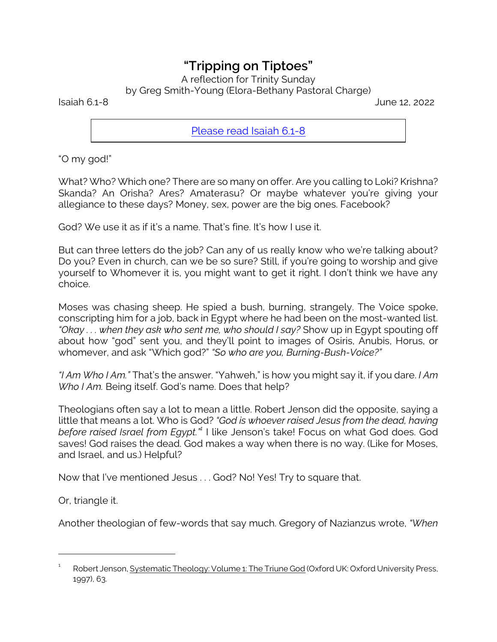## *"Tripping on Tiptoes"*

A reflection for Trinity Sunday

by Greg Smith-Young (Elora-Bethany Pastoral Charge)

Isaiah 6.1-8 June 12, 2022

[Please read Isaiah 6.1-8](https://www.biblegateway.com/passage/?search=Isaiah+6%3A1-8&version=CEB)

"O my god!"

What? Who? Which one? There are so many on offer. Are you calling to Loki? Krishna? Skanda? An Orisha? Ares? Amaterasu? Or maybe whatever you're giving your allegiance to these days? Money, sex, power are the big ones. Facebook?

God? We use it as if it's a name. That's fine. It's how I use it.

But can three letters do the job? Can any of us really know who we're talking about? Do you? Even in church, can we be so sure? Still, if you're going to worship and give yourself to Whomever it is, you might want to get it right. I don't think we have any choice.

Moses was chasing sheep. He spied a bush, burning, strangely. The Voice spoke, conscripting him for a job, back in Egypt where he had been on the most-wanted list. *"Okay . . . when they ask who sent me, who should I say?* Show up in Egypt spouting off about how "god" sent you, and they'll point to images of Osiris, Anubis, Horus, or whomever, and ask "Which god?" *"So who are you, Burning-Bush-Voice?"*

*"I Am Who I Am."* That's the answer. "Yahweh," is how you might say it, if you dare. *I Am Who I Am.* Being itself. God's name. Does that help?

Theologians often say a lot to mean a little. Robert Jenson did the opposite, saying a little that means a lot. Who is God? *"God is whoever raised Jesus from the dead, having before raised Israel from Egypt."<sup>1</sup>* I like Jenson's take! Focus on what God does. God saves! God raises the dead. God makes a way when there is no way. (Like for Moses, and Israel, and us.) Helpful?

Now that I've mentioned Jesus . . . God? No! Yes! Try to square that.

Or, triangle it.

Another theologian of few-words that say much. Gregory of Nazianzus wrote, *"When*

<sup>1</sup> Robert Jenson, Systematic Theology: Volume 1: The Triune God (Oxford UK: Oxford University Press, 1997), 63.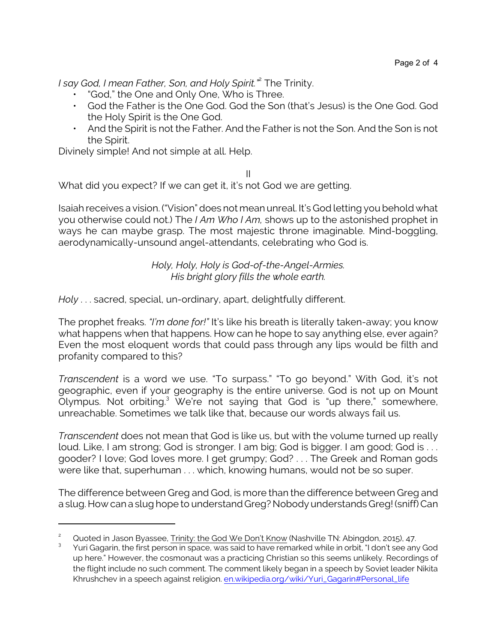*I say God, I mean Father, Son, and Holy Spirit."*<sup>2</sup> The Trinity.

- "God," the One and Only One, Who is Three.
- God the Father is the One God. God the Son (that's Jesus) is the One God. God the Holy Spirit is the One God.
- And the Spirit is not the Father. And the Father is not the Son. And the Son is not the Spirit.

Divinely simple! And not simple at all. Help.

II

What did you expect? If we can get it, it's not God we are getting.

Isaiah receives a vision. ("Vision" does not mean unreal. It's God letting you behold what you otherwise could not.) The *I Am Who I Am,* shows up to the astonished prophet in ways he can maybe grasp. The most majestic throne imaginable. Mind-boggling, aerodynamically-unsound angel-attendants, celebrating who God is.

> *Holy, Holy, Holy is God-of-the-Angel-Armies. His bright glory fills the whole earth.*

*Holy* . . . sacred, special, un-ordinary, apart, delightfully different.

The prophet freaks. *"I'm done for!"* It's like his breath is literally taken-away; you know what happens when that happens. How can he hope to say anything else, ever again? Even the most eloquent words that could pass through any lips would be filth and profanity compared to this?

*Transcendent* is a word we use. "To surpass." "To go beyond." With God, it's not geographic, even if your geography is the entire universe. God is not up on Mount Olympus. Not orbiting.<sup>3</sup> We're not saying that God is "up there," somewhere, unreachable. Sometimes we talk like that, because our words always fail us.

*Transcendent* does not mean that God is like us, but with the volume turned up really loud. Like, I am strong; God is stronger. I am big; God is bigger. I am good; God is . . . gooder? I love; God loves more. I get grumpy; God? . . . The Greek and Roman gods were like that, superhuman . . . which, knowing humans, would not be so super.

The difference between Greg and God, is more than the difference between Greg and a slug. How can a slug hope to understand Greg? Nobody understands Greg! (sniff) Can

Quoted in Jason Byassee, Trinity: the God We Don't Know (Nashville TN: Abingdon, 2015), 47.

<sup>3</sup> Yuri Gagarin, the first person in space, was said to have remarked while in orbit, "I don't see any God up here." However, the cosmonaut was a practicing Christian so this seems unlikely. Recordings of the flight include no such comment. The comment likely began in a speech by Soviet leader Nikita Khrushchev in a speech against religion. [en.wikipedia.org/wiki/Yuri\\_Gagarin#Personal\\_life](https://en.wikipedia.org/wiki/Yuri_Gagarin#Personal_life)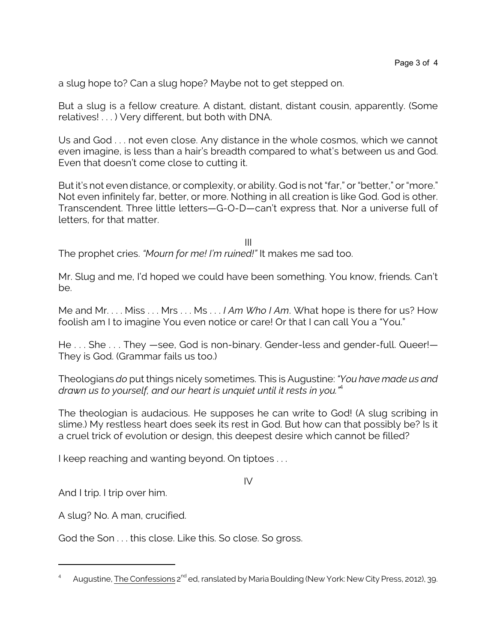a slug hope to? Can a slug hope? Maybe not to get stepped on.

But a slug is a fellow creature. A distant, distant, distant cousin, apparently. (Some relatives! . . . ) Very different, but both with DNA.

Us and God . . . not even close. Any distance in the whole cosmos, which we cannot even imagine, is less than a hair's breadth compared to what's between us and God. Even that doesn't come close to cutting it.

But it's not even distance, or complexity, or ability. God is not "far," or "better," or "more." Not even infinitely far, better, or more. Nothing in all creation is like God. God is other. Transcendent. Three little letters—G-O-D—can't express that. Nor a universe full of letters, for that matter.

III The prophet cries. *"Mourn for me! I'm ruined!"* It makes me sad too.

Mr. Slug and me, I'd hoped we could have been something. You know, friends. Can't be.

Me and Mr. . . . Miss . . . Mrs . . . Ms . . . *I Am Who I Am*. What hope is there for us? How foolish am I to imagine You even notice or care! Or that I can call You a "You."

He . . . She . . . They —see, God is non-binary. Gender-less and gender-full. Queer!— They is God. (Grammar fails us too.)

Theologians *do* put things nicely sometimes. This is Augustine: *"You have made us and drawn us to yourself, and our heart is unquiet until it rests in you."*<sup>4</sup>

The theologian is audacious. He supposes he can write to God! (A slug scribing in slime.) My restless heart does seek its rest in God. But how can that possibly be? Is it a cruel trick of evolution or design, this deepest desire which cannot be filled?

I keep reaching and wanting beyond. On tiptoes . . .

IV

And I trip. I trip over him.

A slug? No. A man, crucified.

God the Son . . . this close. Like this. So close. So gross.

<sup>4</sup> Augustine, <u>The Confessions</u> 2<sup>nd</sup> ed, ranslated by Maria Boulding (New York: New City Press, 2012), 39.